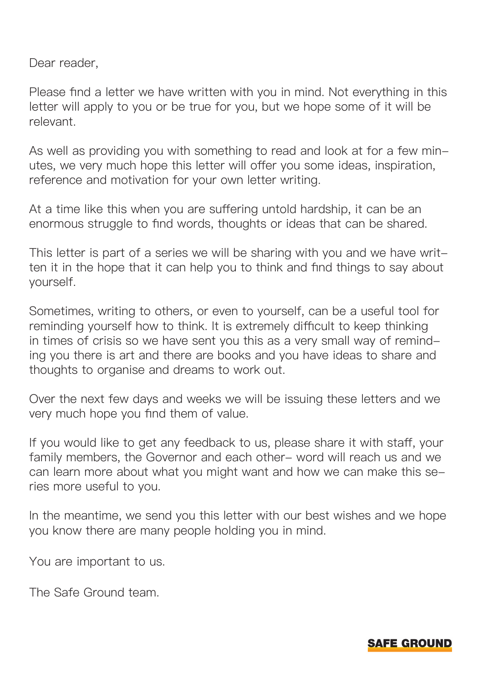Dear reader,

Please find a letter we have written with you in mind. Not everything in this letter will apply to you or be true for you, but we hope some of it will be relevant.

As well as providing you with something to read and look at for a few minutes, we very much hope this letter will offer you some ideas, inspiration, reference and motivation for your own letter writing.

At a time like this when you are suffering untold hardship, it can be an enormous struggle to find words, thoughts or ideas that can be shared.

This letter is part of a series we will be sharing with you and we have written it in the hope that it can help you to think and find things to say about yourself.

Sometimes, writing to others, or even to yourself, can be a useful tool for reminding yourself how to think. It is extremely difficult to keep thinking in times of crisis so we have sent you this as a very small way of reminding you there is art and there are books and you have ideas to share and thoughts to organise and dreams to work out.

Over the next few days and weeks we will be issuing these letters and we very much hope you find them of value.

If you would like to get any feedback to us, please share it with staff, your family members, the Governor and each other- word will reach us and we can learn more about what you might want and how we can make this series more useful to you.

In the meantime, we send you this letter with our best wishes and we hope you know there are many people holding you in mind.

You are important to us.

The Safe Ground team.

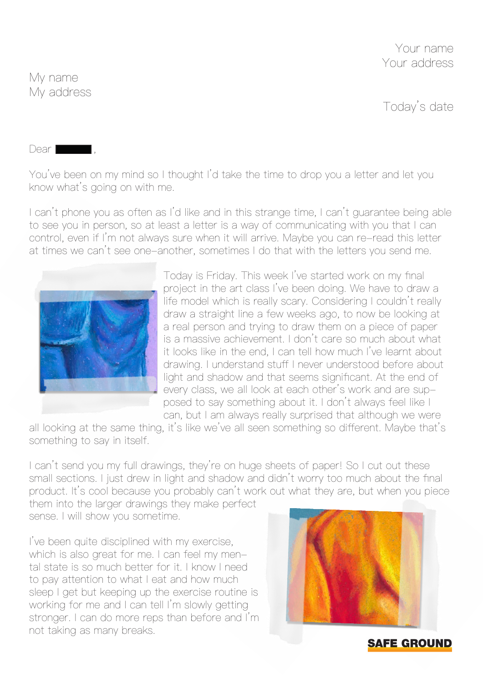Your name Your address

Today's date

My name My address

Dear **I** 

You've been on my mind so I thought I'd take the time to drop you a letter and let you know what's going on with me.

I can't phone you as often as I'd like and in this strange time, I can't guarantee being able to see you in person, so at least a letter is a way of communicating with you that I can control, even if I'm not always sure when it will arrive. Maybe you can re-read this letter at times we can't see one-another, sometimes I do that with the letters you send me.



Today is Friday. This week I've started work on my final project in the art class I've been doing. We have to draw a life model which is really scary. Considering I couldn't really draw a straight line a few weeks ago, to now be looking at a real person and trying to draw them on a piece of paper is a massive achievement. I don't care so much about what it looks like in the end, I can tell how much I've learnt about drawing. I understand stuff I never understood before about light and shadow and that seems significant. At the end of every class, we all look at each other's work and are supposed to say something about it. I don't always feel like I can, but I am always really surprised that although we were

all looking at the same thing, it's like we've all seen something so different. Maybe that's something to say in itself.

I can't send you my full drawings, they're on huge sheets of paper! So I cut out these small sections. I just drew in light and shadow and didn't worry too much about the final product. It's cool because you probably can't work out what they are, but when you piece

them into the larger drawings they make perfect sense. I will show you sometime.

I've been quite disciplined with my exercise, which is also great for me. I can feel my mental state is so much better for it. I know I need to pay attention to what I eat and how much sleep I get but keeping up the exercise routine is working for me and I can tell I'm slowly getting stronger. I can do more reps than before and I'm not taking as many breaks.



**SAFE GROUND**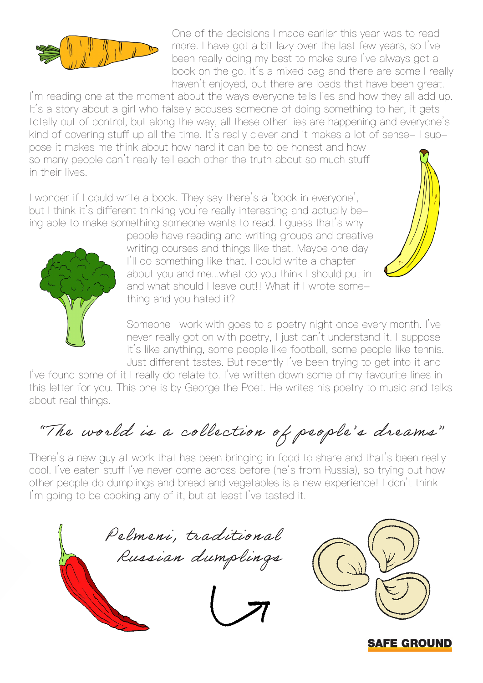

One of the decisions I made earlier this year was to read more. I have got a bit lazy over the last few years, so I've been really doing my best to make sure I've always got a book on the go. It's a mixed bag and there are some I really haven't enjoyed, but there are loads that have been great.

I'm reading one at the moment about the ways everyone tells lies and how they all add up. It's a story about a girl who falsely accuses someone of doing something to her, it gets totally out of control, but along the way, all these other lies are happening and everyone's kind of covering stuff up all the time. It's really clever and it makes a lot of sense- I suppose it makes me think about how hard it can be to be honest and how so many people can't really tell each other the truth about so much stuff in their lives.

I wonder if I could write a book. They say there's a 'book in everyone', but I think it's different thinking you're really interesting and actually being able to make something someone wants to read. I guess that's why



people have reading and writing groups and creative writing courses and things like that. Maybe one day I'll do something like that. I could write a chapter about you and me...what do you think I should put in and what should I leave out!! What if I wrote something and you hated it?

Someone I work with goes to a poetry night once every month. I've never really got on with poetry, I just can't understand it. I suppose it's like anything, some people like football, some people like tennis. Just different tastes. But recently I've been trying to get into it and

I've found some of it I really do relate to. I've written down some of my favourite lines in this letter for you. This one is by George the Poet. He writes his poetry to music and talks about real things.

"The world is a collection of people's dreams"

There's a new guy at work that has been bringing in food to share and that's been really cool. I've eaten stuff I've never come across before (he's from Russia), so trying out how other people do dumplings and bread and vegetables is a new experience! I don't think I'm going to be cooking any of it, but at least I've tasted it.





**SAFE GROUND**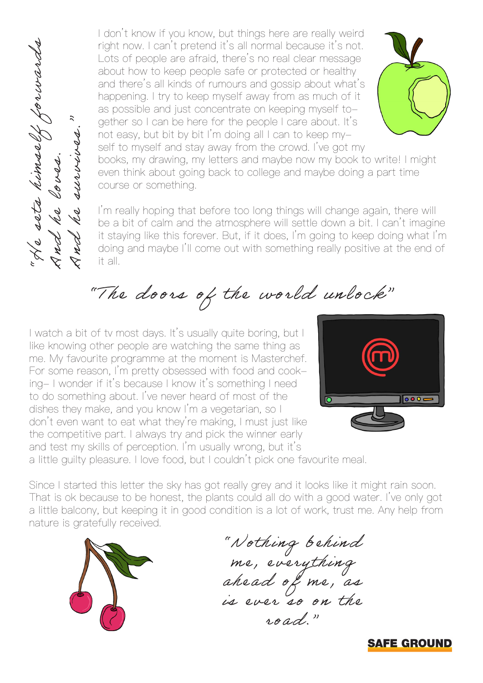I don't know if you know, but things here are really weird right now. I can't pretend it's all normal because it's not. Lots of people are afraid, there's no real clear message about how to keep people safe or protected or healthy and there's all kinds of rumours and gossip about what's happening. I try to keep myself away from as much of it as possible and just concentrate on keeping myself together so I can be here for the people I care about. It's not easy, but bit by bit I'm doing all I can to keep myself to myself and stay away from the crowd. I've got my



books, my drawing, my letters and maybe now my book to write! I might even think about going back to college and maybe doing a part time course or something.

I'm really hoping that before too long things will change again, there will be a bit of calm and the atmosphere will settle down a bit. I can't imagine it staying like this forever. But, if it does, I'm going to keep doing what I'm doing and maybe I'll come out with something really positive at the end of it all.

"The doors of the world unlock"

I watch a bit of tv most days. It's usually quite boring, but I like knowing other people are watching the same thing as me. My favourite programme at the moment is Masterchef. For some reason, I'm pretty obsessed with food and cooking- I wonder if it's because I know it's something I need to do something about. I've never heard of most of the dishes they make, and you know I'm a vegetarian, so I don't even want to eat what they're making, I must just like the competitive part. I always try and pick the winner early and test my skills of perception. I'm usually wrong, but it's night now. I calculated to the sets of people about how to and there's all happening. It as possible are determed. The survey of the survey of the survey of the survey of the survey of the survey of the survey of the surve



a little guilty pleasure. I love food, but I couldn't pick one favourite meal.

Since I started this letter the sky has got really grey and it looks like it might rain soon. That is ok because to be honest, the plants could all do with a good water. I've only got a little balcony, but keeping it in good condition is a lot of work, trust me. Any help from



"No thing behind me, eve ry thing ahead of me, as is ever so on the road."